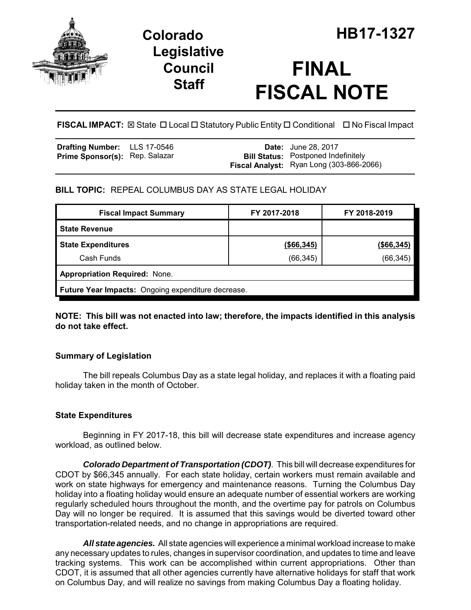

# **Legislative Council Staff**

# **FINAL FISCAL NOTE**

**FISCAL IMPACT:** ⊠ State □ Local □ Statutory Public Entity □ Conditional □ No Fiscal Impact

| <b>Drafting Number:</b> LLS 17-0546   |  | <b>Date:</b> June 28, 2017                 |
|---------------------------------------|--|--------------------------------------------|
| <b>Prime Sponsor(s): Rep. Salazar</b> |  | <b>Bill Status:</b> Postponed Indefinitely |
|                                       |  | Fiscal Analyst: Ryan Long (303-866-2066)   |

## **BILL TOPIC:** REPEAL COLUMBUS DAY AS STATE LEGAL HOLIDAY

| <b>Fiscal Impact Summary</b>                       | FY 2017-2018  | FY 2018-2019  |  |  |  |
|----------------------------------------------------|---------------|---------------|--|--|--|
| <b>State Revenue</b>                               |               |               |  |  |  |
| <b>State Expenditures</b>                          | $($ \$66,345) | $($ \$66,345) |  |  |  |
| Cash Funds                                         | (66, 345)     | (66, 345)     |  |  |  |
| <b>Appropriation Required: None.</b>               |               |               |  |  |  |
| Future Year Impacts: Ongoing expenditure decrease. |               |               |  |  |  |

**NOTE: This bill was not enacted into law; therefore, the impacts identified in this analysis do not take effect.** 

### **Summary of Legislation**

The bill repeals Columbus Day as a state legal holiday, and replaces it with a floating paid holiday taken in the month of October.

### **State Expenditures**

Beginning in FY 2017-18, this bill will decrease state expenditures and increase agency workload, as outlined below.

*Colorado Department of Transportation (CDOT)*. This bill will decrease expenditures for CDOT by \$66,345 annually. For each state holiday, certain workers must remain available and work on state highways for emergency and maintenance reasons. Turning the Columbus Day holiday into a floating holiday would ensure an adequate number of essential workers are working regularly scheduled hours throughout the month, and the overtime pay for patrols on Columbus Day will no longer be required. It is assumed that this savings would be diverted toward other transportation-related needs, and no change in appropriations are required.

*All state agencies.* All state agencies will experience a minimal workload increase to make any necessary updates to rules, changes in supervisor coordination, and updates to time and leave tracking systems. This work can be accomplished within current appropriations. Other than CDOT, it is assumed that all other agencies currently have alternative holidays for staff that work on Columbus Day, and will realize no savings from making Columbus Day a floating holiday.